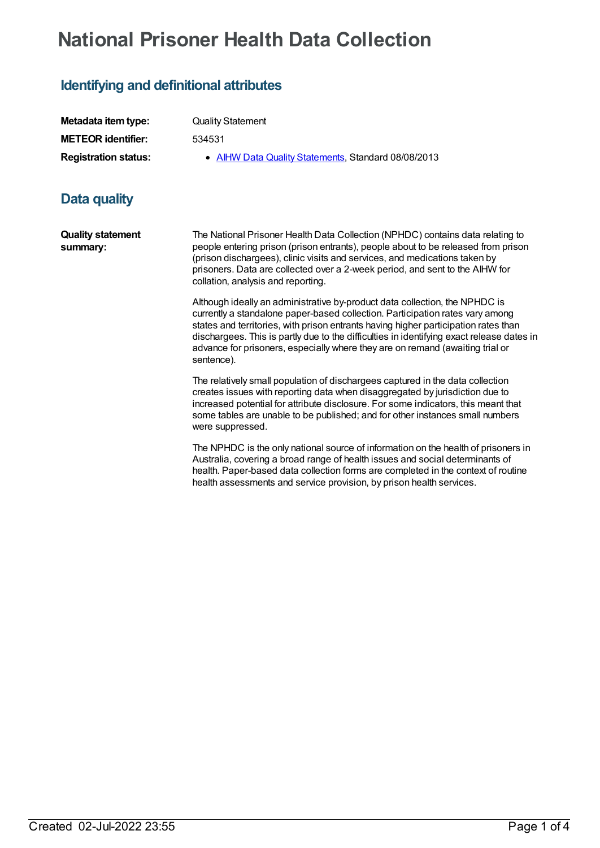# **National Prisoner Health Data Collection**

# **Identifying and definitional attributes**

| Metadata item type:         | <b>Quality Statement</b>                            |
|-----------------------------|-----------------------------------------------------|
| <b>METEOR identifier:</b>   | 534531                                              |
| <b>Registration status:</b> | • AIHW Data Quality Statements, Standard 08/08/2013 |

## **Data quality**

**Quality statement summary:** The National Prisoner Health Data Collection (NPHDC) contains data relating to people entering prison (prison entrants), people about to be released from prison (prison dischargees), clinic visits and services, and medications taken by prisoners. Data are collected over a 2-week period, and sent to the AIHW for collation, analysis and reporting.

> Although ideally an administrative by-product data collection, the NPHDC is currently a standalone paper-based collection. Participation rates vary among states and territories, with prison entrants having higher participation rates than dischargees. This is partly due to the difficulties in identifying exact release dates in advance for prisoners, especially where they are on remand (awaiting trial or sentence).

The relatively small population of dischargees captured in the data collection creates issues with reporting data when disaggregated by jurisdiction due to increased potential for attribute disclosure. For some indicators, this meant that some tables are unable to be published; and for other instances small numbers were suppressed.

The NPHDC is the only national source of information on the health of prisoners in Australia, covering a broad range of health issues and social determinants of health. Paper-based data collection forms are completed in the context of routine health assessments and service provision, by prison health services.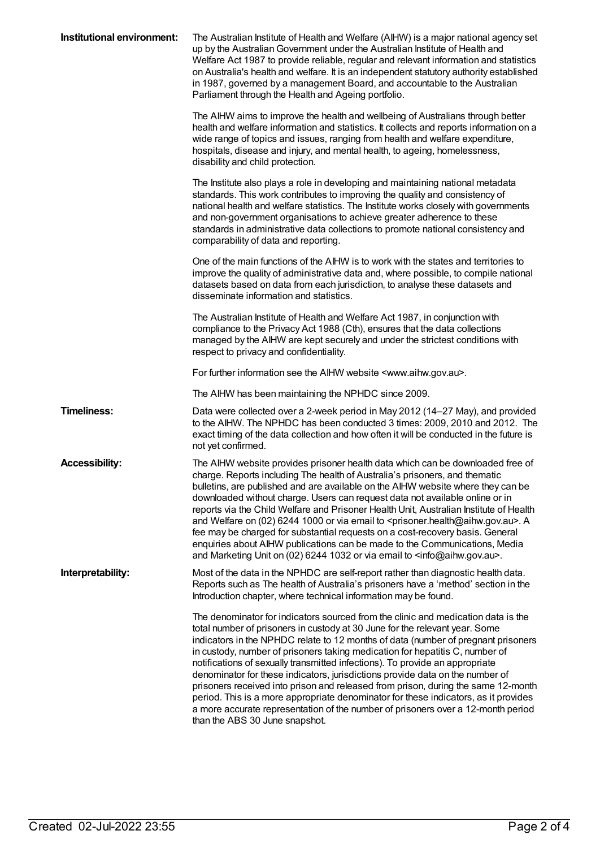| Institutional environment: | The Australian Institute of Health and Welfare (AIHW) is a major national agency set<br>up by the Australian Government under the Australian Institute of Health and<br>Welfare Act 1987 to provide reliable, regular and relevant information and statistics<br>on Australia's health and welfare. It is an independent statutory authority established<br>in 1987, governed by a management Board, and accountable to the Australian<br>Parliament through the Health and Ageing portfolio.                                                                                                                                                                                                                                                                                                                |
|----------------------------|--------------------------------------------------------------------------------------------------------------------------------------------------------------------------------------------------------------------------------------------------------------------------------------------------------------------------------------------------------------------------------------------------------------------------------------------------------------------------------------------------------------------------------------------------------------------------------------------------------------------------------------------------------------------------------------------------------------------------------------------------------------------------------------------------------------|
|                            | The AIHW aims to improve the health and wellbeing of Australians through better<br>health and welfare information and statistics. It collects and reports information on a<br>wide range of topics and issues, ranging from health and welfare expenditure,<br>hospitals, disease and injury, and mental health, to ageing, homelessness,<br>disability and child protection.                                                                                                                                                                                                                                                                                                                                                                                                                                |
|                            | The Institute also plays a role in developing and maintaining national metadata<br>standards. This work contributes to improving the quality and consistency of<br>national health and welfare statistics. The Institute works closely with governments<br>and non-government organisations to achieve greater adherence to these<br>standards in administrative data collections to promote national consistency and<br>comparability of data and reporting.                                                                                                                                                                                                                                                                                                                                                |
|                            | One of the main functions of the AIHW is to work with the states and territories to<br>improve the quality of administrative data and, where possible, to compile national<br>datasets based on data from each jurisdiction, to analyse these datasets and<br>disseminate information and statistics.                                                                                                                                                                                                                                                                                                                                                                                                                                                                                                        |
|                            | The Australian Institute of Health and Welfare Act 1987, in conjunction with<br>compliance to the Privacy Act 1988 (Cth), ensures that the data collections<br>managed by the AIHW are kept securely and under the strictest conditions with<br>respect to privacy and confidentiality.                                                                                                                                                                                                                                                                                                                                                                                                                                                                                                                      |
|                            | For further information see the AIHW website <www.aihw.gov.au>.</www.aihw.gov.au>                                                                                                                                                                                                                                                                                                                                                                                                                                                                                                                                                                                                                                                                                                                            |
|                            | The AIHW has been maintaining the NPHDC since 2009.                                                                                                                                                                                                                                                                                                                                                                                                                                                                                                                                                                                                                                                                                                                                                          |
| <b>Timeliness:</b>         | Data were collected over a 2-week period in May 2012 (14–27 May), and provided<br>to the AIHW. The NPHDC has been conducted 3 times: 2009, 2010 and 2012. The<br>exact timing of the data collection and how often it will be conducted in the future is<br>not yet confirmed.                                                                                                                                                                                                                                                                                                                                                                                                                                                                                                                               |
| <b>Accessibility:</b>      | The AIHW website provides prisoner health data which can be downloaded free of<br>charge. Reports including The health of Australia's prisoners, and thematic<br>bulletins, are published and are available on the AIHW website where they can be<br>downloaded without charge. Users can request data not available online or in<br>reports via the Child Welfare and Prisoner Health Unit, Australian Institute of Health<br>and Welfare on (02) 6244 1000 or via email to <prisoner.health@aihw.gov.au>. A<br/>fee may be charged for substantial requests on a cost-recovery basis. General<br/>enquiries about AIHW publications can be made to the Communications, Media<br/>and Marketing Unit on (02) 6244 1032 or via email to <info@aihw.gov.au>.</info@aihw.gov.au></prisoner.health@aihw.gov.au> |
| Interpretability:          | Most of the data in the NPHDC are self-report rather than diagnostic health data.<br>Reports such as The health of Australia's prisoners have a 'method' section in the<br>Introduction chapter, where technical information may be found.                                                                                                                                                                                                                                                                                                                                                                                                                                                                                                                                                                   |
|                            | The denominator for indicators sourced from the clinic and medication data is the<br>total number of prisoners in custody at 30 June for the relevant year. Some<br>indicators in the NPHDC relate to 12 months of data (number of pregnant prisoners<br>in custody, number of prisoners taking medication for hepatitis C, number of<br>notifications of sexually transmitted infections). To provide an appropriate<br>denominator for these indicators, jurisdictions provide data on the number of<br>prisoners received into prison and released from prison, during the same 12-month<br>period. This is a more appropriate denominator for these indicators, as it provides<br>a more accurate representation of the number of prisoners over a 12-month period<br>than the ABS 30 June snapshot.     |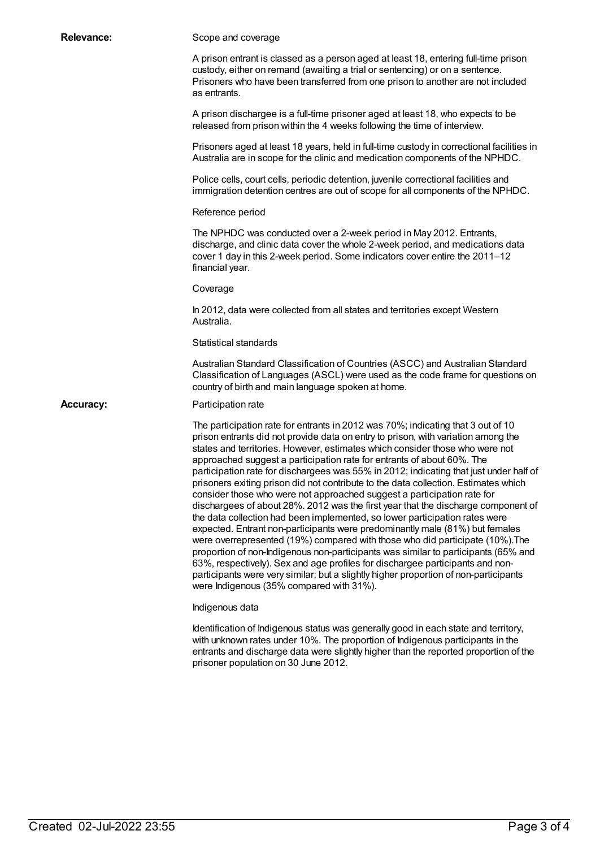| <b>Relevance:</b> | Scope and coverage                                                                                                                                                                                                                                                                                                                                                                                                                                                                                                                                                                                                                                                                                                                                                                                                                                                                                                                                                                                                                                                                                                                                                                                                                          |
|-------------------|---------------------------------------------------------------------------------------------------------------------------------------------------------------------------------------------------------------------------------------------------------------------------------------------------------------------------------------------------------------------------------------------------------------------------------------------------------------------------------------------------------------------------------------------------------------------------------------------------------------------------------------------------------------------------------------------------------------------------------------------------------------------------------------------------------------------------------------------------------------------------------------------------------------------------------------------------------------------------------------------------------------------------------------------------------------------------------------------------------------------------------------------------------------------------------------------------------------------------------------------|
|                   | A prison entrant is classed as a person aged at least 18, entering full-time prison<br>custody, either on remand (awaiting a trial or sentencing) or on a sentence.<br>Prisoners who have been transferred from one prison to another are not included<br>as entrants.                                                                                                                                                                                                                                                                                                                                                                                                                                                                                                                                                                                                                                                                                                                                                                                                                                                                                                                                                                      |
|                   | A prison dischargee is a full-time prisoner aged at least 18, who expects to be<br>released from prison within the 4 weeks following the time of interview.                                                                                                                                                                                                                                                                                                                                                                                                                                                                                                                                                                                                                                                                                                                                                                                                                                                                                                                                                                                                                                                                                 |
|                   | Prisoners aged at least 18 years, held in full-time custody in correctional facilities in<br>Australia are in scope for the clinic and medication components of the NPHDC.                                                                                                                                                                                                                                                                                                                                                                                                                                                                                                                                                                                                                                                                                                                                                                                                                                                                                                                                                                                                                                                                  |
|                   | Police cells, court cells, periodic detention, juvenile correctional facilities and<br>immigration detention centres are out of scope for all components of the NPHDC.                                                                                                                                                                                                                                                                                                                                                                                                                                                                                                                                                                                                                                                                                                                                                                                                                                                                                                                                                                                                                                                                      |
|                   | Reference period                                                                                                                                                                                                                                                                                                                                                                                                                                                                                                                                                                                                                                                                                                                                                                                                                                                                                                                                                                                                                                                                                                                                                                                                                            |
|                   | The NPHDC was conducted over a 2-week period in May 2012. Entrants,<br>discharge, and clinic data cover the whole 2-week period, and medications data<br>cover 1 day in this 2-week period. Some indicators cover entire the 2011-12<br>financial year.                                                                                                                                                                                                                                                                                                                                                                                                                                                                                                                                                                                                                                                                                                                                                                                                                                                                                                                                                                                     |
|                   | Coverage                                                                                                                                                                                                                                                                                                                                                                                                                                                                                                                                                                                                                                                                                                                                                                                                                                                                                                                                                                                                                                                                                                                                                                                                                                    |
|                   | In 2012, data were collected from all states and territories except Western<br>Australia.                                                                                                                                                                                                                                                                                                                                                                                                                                                                                                                                                                                                                                                                                                                                                                                                                                                                                                                                                                                                                                                                                                                                                   |
|                   | Statistical standards                                                                                                                                                                                                                                                                                                                                                                                                                                                                                                                                                                                                                                                                                                                                                                                                                                                                                                                                                                                                                                                                                                                                                                                                                       |
|                   | Australian Standard Classification of Countries (ASCC) and Australian Standard<br>Classification of Languages (ASCL) were used as the code frame for questions on<br>country of birth and main language spoken at home.                                                                                                                                                                                                                                                                                                                                                                                                                                                                                                                                                                                                                                                                                                                                                                                                                                                                                                                                                                                                                     |
| <b>Accuracy:</b>  | Participation rate                                                                                                                                                                                                                                                                                                                                                                                                                                                                                                                                                                                                                                                                                                                                                                                                                                                                                                                                                                                                                                                                                                                                                                                                                          |
|                   | The participation rate for entrants in 2012 was 70%; indicating that 3 out of 10<br>prison entrants did not provide data on entry to prison, with variation among the<br>states and territories. However, estimates which consider those who were not<br>approached suggest a participation rate for entrants of about 60%. The<br>participation rate for dischargees was 55% in 2012; indicating that just under half of<br>prisoners exiting prison did not contribute to the data collection. Estimates which<br>consider those who were not approached suggest a participation rate for<br>dischargees of about 28%. 2012 was the first year that the discharge component of<br>the data collection had been implemented, so lower participation rates were<br>expected. Entrant non-participants were predominantly male (81%) but females<br>were overrepresented (19%) compared with those who did participate (10%). The<br>proportion of non-Indigenous non-participants was similar to participants (65% and<br>63%, respectively). Sex and age profiles for dischargee participants and non-<br>participants were very similar; but a slightly higher proportion of non-participants<br>were Indigenous (35% compared with 31%). |
|                   | Indigenous data                                                                                                                                                                                                                                                                                                                                                                                                                                                                                                                                                                                                                                                                                                                                                                                                                                                                                                                                                                                                                                                                                                                                                                                                                             |
|                   | Identification of Indigenous status was generally good in each state and territory,<br>with unknown rates under 10%. The proportion of Indigenous participants in the<br>entrants and discharge data were slightly higher than the reported proportion of the<br>prisoner population on 30 June 2012.                                                                                                                                                                                                                                                                                                                                                                                                                                                                                                                                                                                                                                                                                                                                                                                                                                                                                                                                       |